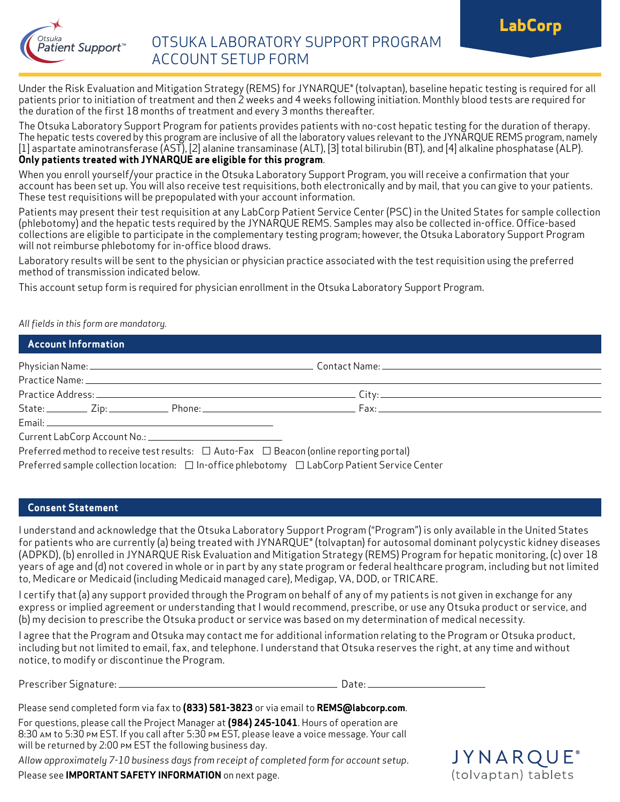



# OTSUKA LABORATORY SUPPORT PROGRAM ACCOUNT SETUP FORM

Under the Risk Evaluation and Mitigation Strategy (REMS) for JYNARQUE® (tolvaptan), baseline hepatic testing is required for all patients prior to initiation of treatment and then 2 weeks and 4 weeks following initiation. Monthly blood tests are required for the duration of the first 18 months of treatment and every 3 months thereafter.

The Otsuka Laboratory Support Program for patients provides patients with no-cost hepatic testing for the duration of therapy. The hepatic tests covered by this program are inclusive of all the laboratory values relevant to the JYNARQUE REMS program, namely [1] aspartate aminotransferase (AST), [2] alanine transaminase (ALT), [3] total bilirubin (BT), and [4] alkaline phosphatase (ALP). **Only patients treated with JYNARQUE are eligible for this program**.

When you enroll yourself/your practice in the Otsuka Laboratory Support Program, you will receive a confirmation that your account has been set up. You will also receive test requisitions, both electronically and by mail, that you can give to your patients. These test requisitions will be prepopulated with your account information.

Patients may present their test requisition at any LabCorp Patient Service Center (PSC) in the United States for sample collection (phlebotomy) and the hepatic tests required by the JYNARQUE REMS. Samples may also be collected in-office. Office-based collections are eligible to participate in the complementary testing program; however, the Otsuka Laboratory Support Program will not reimburse phlebotomy for in-office blood draws.

Laboratory results will be sent to the physician or physician practice associated with the test requisition using the preferred method of transmission indicated below.

This account setup form is required for physician enrollment in the Otsuka Laboratory Support Program.

*All fields in this form are mandatory.*

#### **Account Information**

|  |  |  | State: <u>Cip: Zip: Phone: Phone: Fax: Fax: Fax: External proposals</u> |  |
|--|--|--|-------------------------------------------------------------------------|--|
|  |  |  |                                                                         |  |
|  |  |  |                                                                         |  |
|  |  |  | DC LUIL 'I'D MIF MD (P. P.)                                             |  |

Preferred method to receive test results:  $\Box$  Auto-Fax  $\Box$  Beacon (online reporting portal) Preferred sample collection location:  $\Box$  In-office phlebotomy  $\Box$  LabCorp Patient Service Center

#### **Consent Statement**

I understand and acknowledge that the Otsuka Laboratory Support Program ("Program") is only available in the United States for patients who are currently (a) being treated with JYNARQUE® (tolvaptan) for autosomal dominant polycystic kidney diseases (ADPKD), (b) enrolled in JYNARQUE Risk Evaluation and Mitigation Strategy (REMS) Program for hepatic monitoring, (c) over 18 years of age and (d) not covered in whole or in part by any state program or federal healthcare program, including but not limited to, Medicare or Medicaid (including Medicaid managed care), Medigap, VA, DOD, or TRICARE.

I certify that (a) any support provided through the Program on behalf of any of my patients is not given in exchange for any express or implied agreement or understanding that I would recommend, prescribe, or use any Otsuka product or service, and (b) my decision to prescribe the Otsuka product or service was based on my determination of medical necessity.

I agree that the Program and Otsuka may contact me for additional information relating to the Program or Otsuka product, including but not limited to email, fax, and telephone. I understand that Otsuka reserves the right, at any time and without notice, to modify or discontinue the Program.

Prescriber Signature: Date:

Please send completed form via fax to **(833) 581-3823** or via email to **REMS@labcorp.com**.

For questions, please call the Project Manager at **(984) 245-1041**. Hours of operation are 8:30 am to 5:30 pm EST. If you call after 5:30 pm EST, please leave a voice message. Your call will be returned by 2:00 pm EST the following business day.

*Allow approximately 7-10 business days from receipt of completed form for account setup*.

Please see **IMPORTANT SAFETY INFORMATION** on next page.

## JYNARQL (tolvaptan) tablets